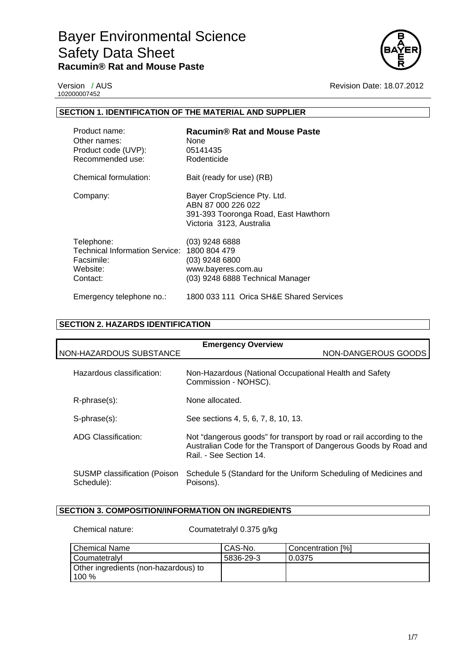

102000007452

Version / AUS **Revision Date: 18.07.2012** 

## **SECTION 1. IDENTIFICATION OF THE MATERIAL AND SUPPLIER**

| Product name:<br>Other names:<br>Product code (UVP):<br>Recommended use:                  | Racumin® Rat and Mouse Paste<br>None<br>05141435<br>Rodenticide                                                       |
|-------------------------------------------------------------------------------------------|-----------------------------------------------------------------------------------------------------------------------|
| Chemical formulation:                                                                     | Bait (ready for use) (RB)                                                                                             |
| Company:                                                                                  | Bayer CropScience Pty. Ltd.<br>ABN 87 000 226 022<br>391-393 Tooronga Road, East Hawthorn<br>Victoria 3123, Australia |
| Telephone:<br><b>Technical Information Service:</b><br>Facsimile:<br>Website:<br>Contact: | $(03)$ 9248 6888<br>1800 804 479<br>$(03)$ 9248 6800<br>www.bayeres.com.au<br>(03) 9248 6888 Technical Manager        |
| Emergency telephone no.:                                                                  | 1800 033 111 Orica SH&E Shared Services                                                                               |

# **SECTION 2. HAZARDS IDENTIFICATION**

| <b>Emergency Overview</b>                  |                                                                                                                                                                     |  |
|--------------------------------------------|---------------------------------------------------------------------------------------------------------------------------------------------------------------------|--|
| NON-HAZARDOUS SUBSTANCE                    | NON-DANGEROUS GOODS                                                                                                                                                 |  |
| Hazardous classification:                  | Non-Hazardous (National Occupational Health and Safety<br>Commission - NOHSC).                                                                                      |  |
| $R$ -phrase $(s)$ :                        | None allocated.                                                                                                                                                     |  |
| S-phrase(s):                               | See sections 4, 5, 6, 7, 8, 10, 13.                                                                                                                                 |  |
| ADG Classification:                        | Not "dangerous goods" for transport by road or rail according to the<br>Australian Code for the Transport of Dangerous Goods by Road and<br>Rail. - See Section 14. |  |
| SUSMP classification (Poison<br>Schedule): | Schedule 5 (Standard for the Uniform Scheduling of Medicines and<br>Poisons).                                                                                       |  |

# **SECTION 3. COMPOSITION/INFORMATION ON INGREDIENTS**

Chemical nature: Coumatetralyl 0.375 g/kg

| Chemical Name                        | CAS-No.   | Concentration [%] |
|--------------------------------------|-----------|-------------------|
| l Coumatetralvl                      | 5836-29-3 | 0.0375            |
| Other ingredients (non-hazardous) to |           |                   |
| 100 $%$                              |           |                   |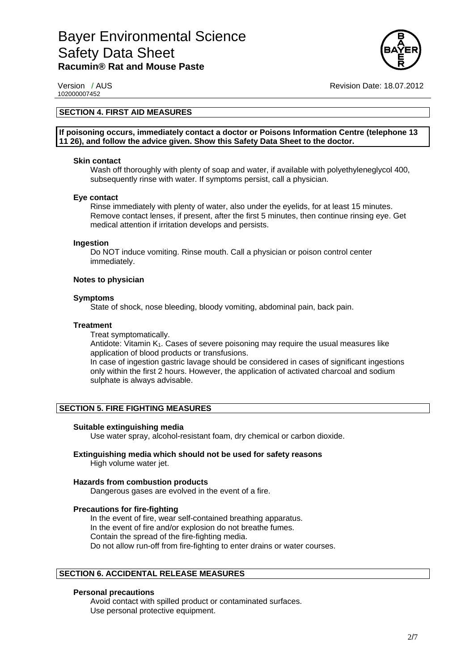

102000007452

Version / AUS Revision Date: 18.07.2012

## **SECTION 4. FIRST AID MEASURES**

**If poisoning occurs, immediately contact a doctor or Poisons Information Centre (telephone 13 11 26), and follow the advice given. Show this Safety Data Sheet to the doctor.** 

#### **Skin contact**

Wash off thoroughly with plenty of soap and water, if available with polyethyleneglycol 400, subsequently rinse with water. If symptoms persist, call a physician.

#### **Eye contact**

Rinse immediately with plenty of water, also under the eyelids, for at least 15 minutes. Remove contact lenses, if present, after the first 5 minutes, then continue rinsing eye. Get medical attention if irritation develops and persists.

#### **Ingestion**

Do NOT induce vomiting. Rinse mouth. Call a physician or poison control center immediately.

#### **Notes to physician**

#### **Symptoms**

State of shock, nose bleeding, bloody vomiting, abdominal pain, back pain.

#### **Treatment**

Treat symptomatically.

Antidote: Vitamin K<sub>1</sub>. Cases of severe poisoning may require the usual measures like application of blood products or transfusions.

In case of ingestion gastric lavage should be considered in cases of significant ingestions only within the first 2 hours. However, the application of activated charcoal and sodium sulphate is always advisable.

### **SECTION 5. FIRE FIGHTING MEASURES**

#### **Suitable extinguishing media**

Use water spray, alcohol-resistant foam, dry chemical or carbon dioxide.

# **Extinguishing media which should not be used for safety reasons**

High volume water jet.

### **Hazards from combustion products**

Dangerous gases are evolved in the event of a fire.

# **Precautions for fire-fighting**

In the event of fire, wear self-contained breathing apparatus. In the event of fire and/or explosion do not breathe fumes. Contain the spread of the fire-fighting media. Do not allow run-off from fire-fighting to enter drains or water courses.

# **SECTION 6. ACCIDENTAL RELEASE MEASURES**

## **Personal precautions**

Avoid contact with spilled product or contaminated surfaces. Use personal protective equipment.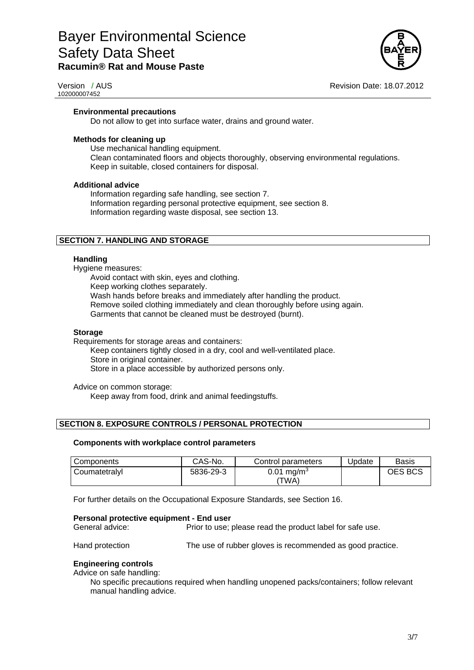

102000007452

Version / AUS **Revision Date: 18.07.2012** 

### **Environmental precautions**

Do not allow to get into surface water, drains and ground water.

#### **Methods for cleaning up**

Use mechanical handling equipment. Clean contaminated floors and objects thoroughly, observing environmental regulations. Keep in suitable, closed containers for disposal.

#### **Additional advice**

Information regarding safe handling, see section 7. Information regarding personal protective equipment, see section 8. Information regarding waste disposal, see section 13.

### **SECTION 7. HANDLING AND STORAGE**

#### **Handling**

Hygiene measures:

Avoid contact with skin, eyes and clothing.

Keep working clothes separately.

Wash hands before breaks and immediately after handling the product.

Remove soiled clothing immediately and clean thoroughly before using again.

Garments that cannot be cleaned must be destroyed (burnt).

#### **Storage**

Requirements for storage areas and containers:

Keep containers tightly closed in a dry, cool and well-ventilated place. Store in original container. Store in a place accessible by authorized persons only.

Advice on common storage: Keep away from food, drink and animal feedingstuffs.

### **SECTION 8. EXPOSURE CONTROLS / PERSONAL PROTECTION**

#### **Components with workplace control parameters**

| Components    | CAS-No.   | Control parameters     | Update | Basis   |
|---------------|-----------|------------------------|--------|---------|
| Coumatetralvl | 5836-29-3 | 0.01 mg/m <sup>3</sup> |        | OES BCS |
|               |           | 'TWA)                  |        |         |

For further details on the Occupational Exposure Standards, see Section 16.

#### **Personal protective equipment - End user**

General advice: Prior to use; please read the product label for safe use.

Hand protection The use of rubber gloves is recommended as good practice.

#### **Engineering controls**

Advice on safe handling:

No specific precautions required when handling unopened packs/containers; follow relevant manual handling advice.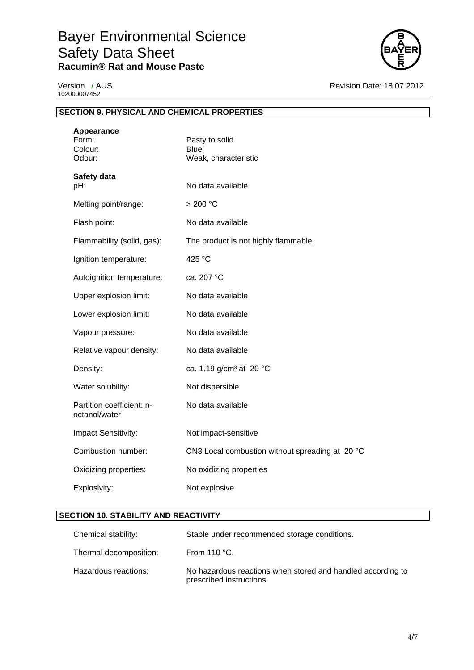

102000007452

Version / AUS **Revision Date: 18.07.2012** 

| <b>SECTION 9. PHYSICAL AND CHEMICAL PROPERTIES</b> |                                                       |
|----------------------------------------------------|-------------------------------------------------------|
| Appearance<br>Form:<br>Colour:<br>Odour:           | Pasty to solid<br><b>Blue</b><br>Weak, characteristic |
| Safety data<br>pH:                                 | No data available                                     |
| Melting point/range:                               | > 200 °C                                              |
| Flash point:                                       | No data available                                     |
| Flammability (solid, gas):                         | The product is not highly flammable.                  |
| Ignition temperature:                              | 425 °C                                                |
| Autoignition temperature:                          | ca. 207 °C                                            |
| Upper explosion limit:                             | No data available                                     |
| Lower explosion limit:                             | No data available                                     |
| Vapour pressure:                                   | No data available                                     |
| Relative vapour density:                           | No data available                                     |
| Density:                                           | ca. 1.19 g/cm <sup>3</sup> at 20 °C                   |
| Water solubility:                                  | Not dispersible                                       |
| Partition coefficient: n-<br>octanol/water         | No data available                                     |
| Impact Sensitivity:                                | Not impact-sensitive                                  |
| Combustion number:                                 | CN3 Local combustion without spreading at 20 °C       |
| Oxidizing properties:                              | No oxidizing properties                               |
| Explosivity:                                       | Not explosive                                         |

# **SECTION 10. STABILITY AND REACTIVITY**

| Chemical stability:    | Stable under recommended storage conditions.                                            |
|------------------------|-----------------------------------------------------------------------------------------|
| Thermal decomposition: | From 110 $^{\circ}$ C.                                                                  |
| Hazardous reactions:   | No hazardous reactions when stored and handled according to<br>prescribed instructions. |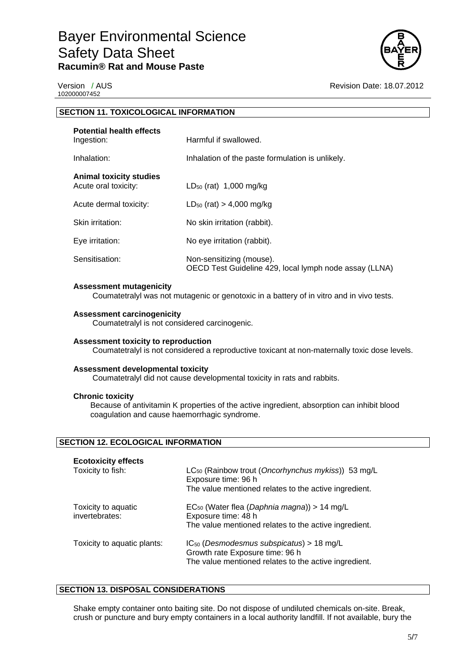

102000007452

Version / AUS **Version / AUS** Revision Date: 18.07.2012

| <b>SECTION 11. TOXICOLOGICAL INFORMATION</b>           |                                                                                                                                                |
|--------------------------------------------------------|------------------------------------------------------------------------------------------------------------------------------------------------|
| <b>Potential health effects</b><br>Ingestion:          | Harmful if swallowed.                                                                                                                          |
| Inhalation:                                            | Inhalation of the paste formulation is unlikely.                                                                                               |
| <b>Animal toxicity studies</b><br>Acute oral toxicity: | $LD_{50}$ (rat) 1,000 mg/kg                                                                                                                    |
| Acute dermal toxicity:                                 | $LD_{50}$ (rat) > 4,000 mg/kg                                                                                                                  |
| Skin irritation:                                       | No skin irritation (rabbit).                                                                                                                   |
| Eye irritation:                                        | No eye irritation (rabbit).                                                                                                                    |
| Sensitisation:                                         | Non-sensitizing (mouse).<br>OECD Test Guideline 429, local lymph node assay (LLNA)                                                             |
| <b>Assessment mutagenicity</b>                         | Coumatetralyl was not mutagenic or genotoxic in a battery of in vitro and in vivo tests.                                                       |
| <b>Assessment carcinogenicity</b>                      | Coumatetralyl is not considered carcinogenic.                                                                                                  |
| Assessment toxicity to reproduction                    | Coumatetralyl is not considered a reproductive toxicant at non-maternally toxic dose levels.                                                   |
| <b>Assessment developmental toxicity</b>               | Coumatetralyl did not cause developmental toxicity in rats and rabbits.                                                                        |
| <b>Chronic toxicity</b>                                | Because of antivitamin K properties of the active ingredient, absorption can inhibit blood<br>coagulation and cause haemorrhagic syndrome.     |
| <b>SECTION 12. ECOLOGICAL INFORMATION</b>              |                                                                                                                                                |
| <b>Ecotoxicity effects</b>                             |                                                                                                                                                |
| Toxicity to fish:                                      | LC <sub>50</sub> (Rainbow trout (Oncorhynchus mykiss)) 53 mg/L<br>Exposure time: 96 h<br>The value mentioned relates to the active ingredient. |

| Toxicity to aquatic<br>invertebrates: | $EC_{50}$ (Water flea (Daphnia magna)) > 14 mg/L<br>Exposure time: 48 h<br>The value mentioned relates to the active ingredient.          |
|---------------------------------------|-------------------------------------------------------------------------------------------------------------------------------------------|
| Toxicity to aquatic plants:           | $IC_{50}$ (Desmodesmus subspicatus) > 18 mg/L<br>Growth rate Exposure time: 96 h<br>The value mentioned relates to the active ingredient. |

# **SECTION 13. DISPOSAL CONSIDERATIONS**

Shake empty container onto baiting site. Do not dispose of undiluted chemicals on-site. Break, crush or puncture and bury empty containers in a local authority landfill. If not available, bury the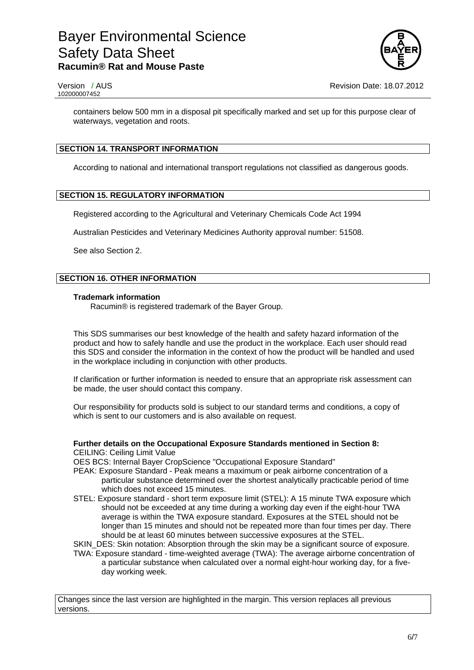

containers below 500 mm in a disposal pit specifically marked and set up for this purpose clear of waterways, vegetation and roots.

# **SECTION 14. TRANSPORT INFORMATION**

According to national and international transport regulations not classified as dangerous goods.

# **SECTION 15. REGULATORY INFORMATION**

Registered according to the Agricultural and Veterinary Chemicals Code Act 1994

Australian Pesticides and Veterinary Medicines Authority approval number: 51508.

See also Section 2.

# **SECTION 16. OTHER INFORMATION**

#### **Trademark information**

Racumin® is registered trademark of the Bayer Group.

This SDS summarises our best knowledge of the health and safety hazard information of the product and how to safely handle and use the product in the workplace. Each user should read this SDS and consider the information in the context of how the product will be handled and used in the workplace including in conjunction with other products.

If clarification or further information is needed to ensure that an appropriate risk assessment can be made, the user should contact this company.

Our responsibility for products sold is subject to our standard terms and conditions, a copy of which is sent to our customers and is also available on request.

# **Further details on the Occupational Exposure Standards mentioned in Section 8:**

CEILING: Ceiling Limit Value

OES BCS: Internal Bayer CropScience "Occupational Exposure Standard"

- PEAK: Exposure Standard Peak means a maximum or peak airborne concentration of a particular substance determined over the shortest analytically practicable period of time which does not exceed 15 minutes.
- STEL: Exposure standard short term exposure limit (STEL): A 15 minute TWA exposure which should not be exceeded at any time during a working day even if the eight-hour TWA average is within the TWA exposure standard. Exposures at the STEL should not be longer than 15 minutes and should not be repeated more than four times per day. There should be at least 60 minutes between successive exposures at the STEL.

SKIN DES: Skin notation: Absorption through the skin may be a significant source of exposure.

TWA: Exposure standard - time-weighted average (TWA): The average airborne concentration of a particular substance when calculated over a normal eight-hour working day, for a fiveday working week.

Changes since the last version are highlighted in the margin. This version replaces all previous versions.